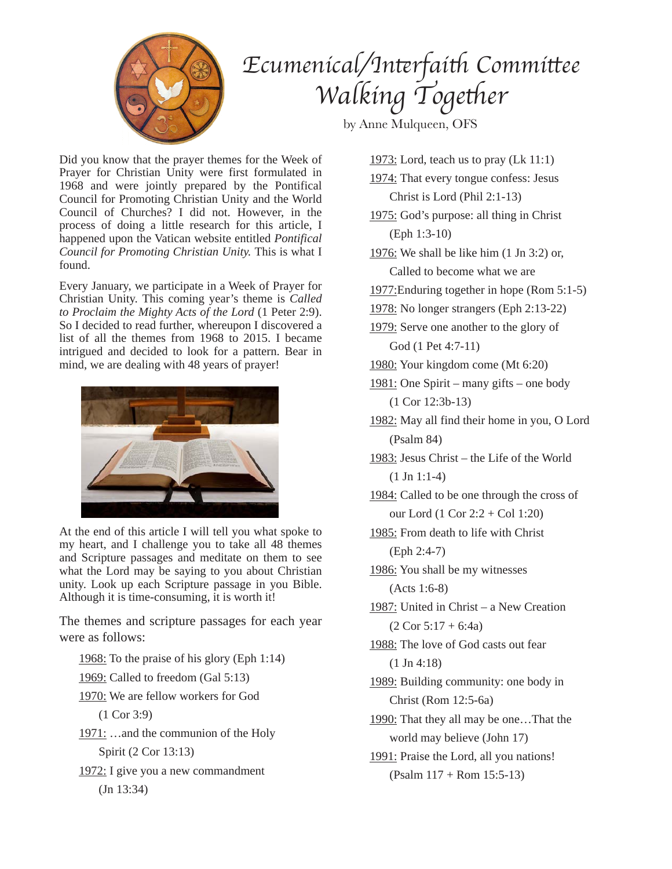

## *Ecumenical/In*t*rfai*t *Commi*t*ee Walking Together*

by Anne Mulqueen, OFS

Did you know that the prayer themes for the Week of Prayer for Christian Unity were first formulated in 1968 and were jointly prepared by the Pontifical Council for Promoting Christian Unity and the World Council of Churches? I did not. However, in the process of doing a little research for this article, I happened upon the Vatican website entitled *Pontifical Council for Promoting Christian Unity.* This is what I found.

Every January, we participate in a Week of Prayer for Christian Unity. This coming year's theme is *Called to Proclaim the Mighty Acts of the Lord* (1 Peter 2:9). So I decided to read further, whereupon I discovered a list of all the themes from 1968 to 2015. I became intrigued and decided to look for a pattern. Bear in mind, we are dealing with 48 years of prayer!



At the end of this article I will tell you what spoke to my heart, and I challenge you to take all 48 themes and Scripture passages and meditate on them to see what the Lord may be saying to you about Christian unity. Look up each Scripture passage in you Bible. Although it is time-consuming, it is worth it!

The themes and scripture passages for each year were as follows:

1968: To the praise of his glory (Eph 1:14)

1969: Called to freedom (Gal 5:13)

1970: We are fellow workers for God

- (1 Cor 3:9)
- 1971: …and the communion of the Holy Spirit (2 Cor 13:13)
- 1972: I give you a new commandment (Jn 13:34)

1973: Lord, teach us to pray (Lk 11:1)

- 1974: That every tongue confess: Jesus Christ is Lord (Phil 2:1-13)
- 1975: God's purpose: all thing in Christ (Eph 1:3-10)
- 1976: We shall be like him (1 Jn 3:2) or, Called to become what we are
- 1977:Enduring together in hope (Rom 5:1-5)
- 1978: No longer strangers (Eph 2:13-22)
- 1979: Serve one another to the glory of God (1 Pet 4:7-11)
- 1980: Your kingdom come (Mt 6:20)
- 1981: One Spirit many gifts one body (1 Cor 12:3b-13)
- 1982: May all find their home in you, O Lord (Psalm 84)
- 1983: Jesus Christ the Life of the World  $(1 \text{ Jn } 1:1-4)$
- 1984: Called to be one through the cross of our Lord (1 Cor 2:2 + Col 1:20)
- 1985: From death to life with Christ (Eph 2:4-7)

1986: You shall be my witnesses (Acts 1:6-8)

1987: United in Christ – a New Creation  $(2$  Cor  $5:17 + 6:4a)$ 

1988: The love of God casts out fear (1 Jn 4:18)

1989: Building community: one body in Christ (Rom 12:5-6a)

1990: That they all may be one…That the world may believe (John 17)

1991: Praise the Lord, all you nations! (Psalm 117 + Rom 15:5-13)